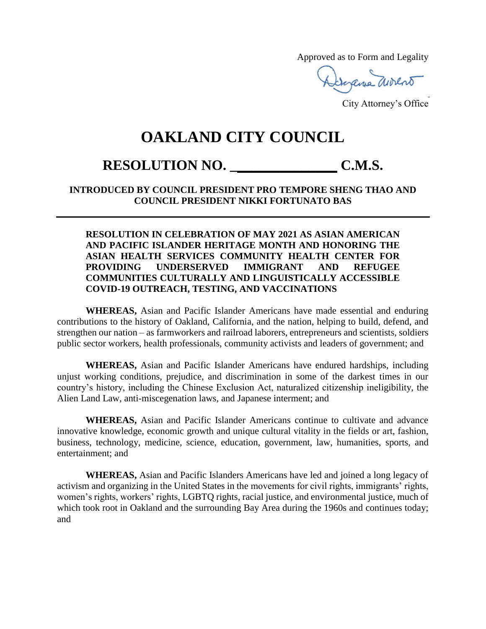Approved as to Form and Legality

Gerana avocat

City Attorney's Office

## **OAKLAND CITY COUNCIL**

## **RESOLUTION NO. \_\_\_\_\_\_\_\_\_\_\_\_\_\_\_ C.M.S.**

## **INTRODUCED BY COUNCIL PRESIDENT PRO TEMPORE SHENG THAO AND COUNCIL PRESIDENT NIKKI FORTUNATO BAS**

## **RESOLUTION IN CELEBRATION OF MAY 2021 AS ASIAN AMERICAN AND PACIFIC ISLANDER HERITAGE MONTH AND HONORING THE ASIAN HEALTH SERVICES COMMUNITY HEALTH CENTER FOR PROVIDING UNDERSERVED IMMIGRANT AND REFUGEE COMMUNITIES CULTURALLY AND LINGUISTICALLY ACCESSIBLE COVID-19 OUTREACH, TESTING, AND VACCINATIONS**

**WHEREAS,** Asian and Pacific Islander Americans have made essential and enduring contributions to the history of Oakland, California, and the nation, helping to build, defend, and strengthen our nation – as farmworkers and railroad laborers, entrepreneurs and scientists, soldiers public sector workers, health professionals, community activists and leaders of government; and

**WHEREAS,** Asian and Pacific Islander Americans have endured hardships, including unjust working conditions, prejudice, and discrimination in some of the darkest times in our country's history, including the Chinese Exclusion Act, naturalized citizenship ineligibility, the Alien Land Law, anti-miscegenation laws, and Japanese interment; and

**WHEREAS,** Asian and Pacific Islander Americans continue to cultivate and advance innovative knowledge, economic growth and unique cultural vitality in the fields or art, fashion, business, technology, medicine, science, education, government, law, humanities, sports, and entertainment; and

**WHEREAS,** Asian and Pacific Islanders Americans have led and joined a long legacy of activism and organizing in the United States in the movements for civil rights, immigrants' rights, women's rights, workers' rights, LGBTQ rights, racial justice, and environmental justice, much of which took root in Oakland and the surrounding Bay Area during the 1960s and continues today; and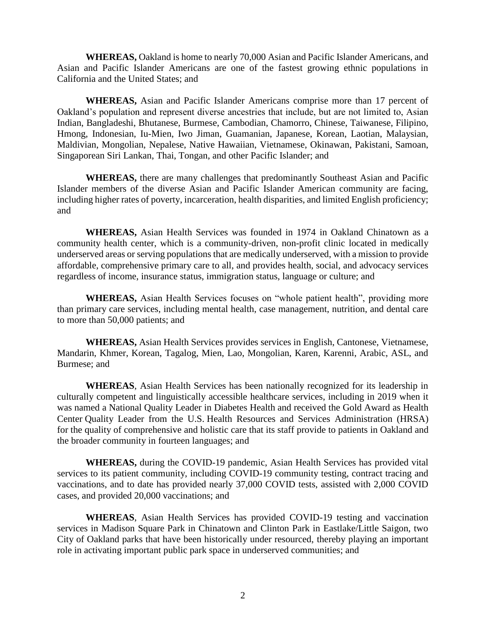**WHEREAS,** Oakland is home to nearly 70,000 Asian and Pacific Islander Americans, and Asian and Pacific Islander Americans are one of the fastest growing ethnic populations in California and the United States; and

**WHEREAS,** Asian and Pacific Islander Americans comprise more than 17 percent of Oakland's population and represent diverse ancestries that include, but are not limited to, Asian Indian, Bangladeshi, Bhutanese, Burmese, Cambodian, Chamorro, Chinese, Taiwanese, Filipino, Hmong, Indonesian, Iu-Mien, Iwo Jiman, Guamanian, Japanese, Korean, Laotian, Malaysian, Maldivian, Mongolian, Nepalese, Native Hawaiian, Vietnamese, Okinawan, Pakistani, Samoan, Singaporean Siri Lankan, Thai, Tongan, and other Pacific Islander; and

**WHEREAS,** there are many challenges that predominantly Southeast Asian and Pacific Islander members of the diverse Asian and Pacific Islander American community are facing, including higher rates of poverty, incarceration, health disparities, and limited English proficiency; and

**WHEREAS,** Asian Health Services was founded in 1974 in Oakland Chinatown as a community health center, which is a community-driven, non-profit clinic located in medically underserved areas or serving populations that are medically underserved, with a mission to provide affordable, comprehensive primary care to all, and provides health, social, and advocacy services regardless of income, insurance status, immigration status, language or culture; and

**WHEREAS,** Asian Health Services focuses on "whole patient health", providing more than primary care services, including mental health, case management, nutrition, and dental care to more than 50,000 patients; and

**WHEREAS,** Asian Health Services provides services in English, Cantonese, Vietnamese, Mandarin, Khmer, Korean, Tagalog, Mien, Lao, Mongolian, Karen, Karenni, Arabic, ASL, and Burmese; and

**WHEREAS**, Asian Health Services has been nationally recognized for its leadership in culturally competent and linguistically accessible healthcare services, including in 2019 when it was named a National Quality Leader in Diabetes Health and received the Gold Award as Health Center Quality Leader from the U.S. Health Resources and Services Administration (HRSA) for the quality of comprehensive and holistic care that its staff provide to patients in Oakland and the broader community in fourteen languages; and

**WHEREAS,** during the COVID-19 pandemic, Asian Health Services has provided vital services to its patient community, including COVID-19 community testing, contract tracing and vaccinations, and to date has provided nearly 37,000 COVID tests, assisted with 2,000 COVID cases, and provided 20,000 vaccinations; and

**WHEREAS**, Asian Health Services has provided COVID-19 testing and vaccination services in Madison Square Park in Chinatown and Clinton Park in Eastlake/Little Saigon, two City of Oakland parks that have been historically under resourced, thereby playing an important role in activating important public park space in underserved communities; and